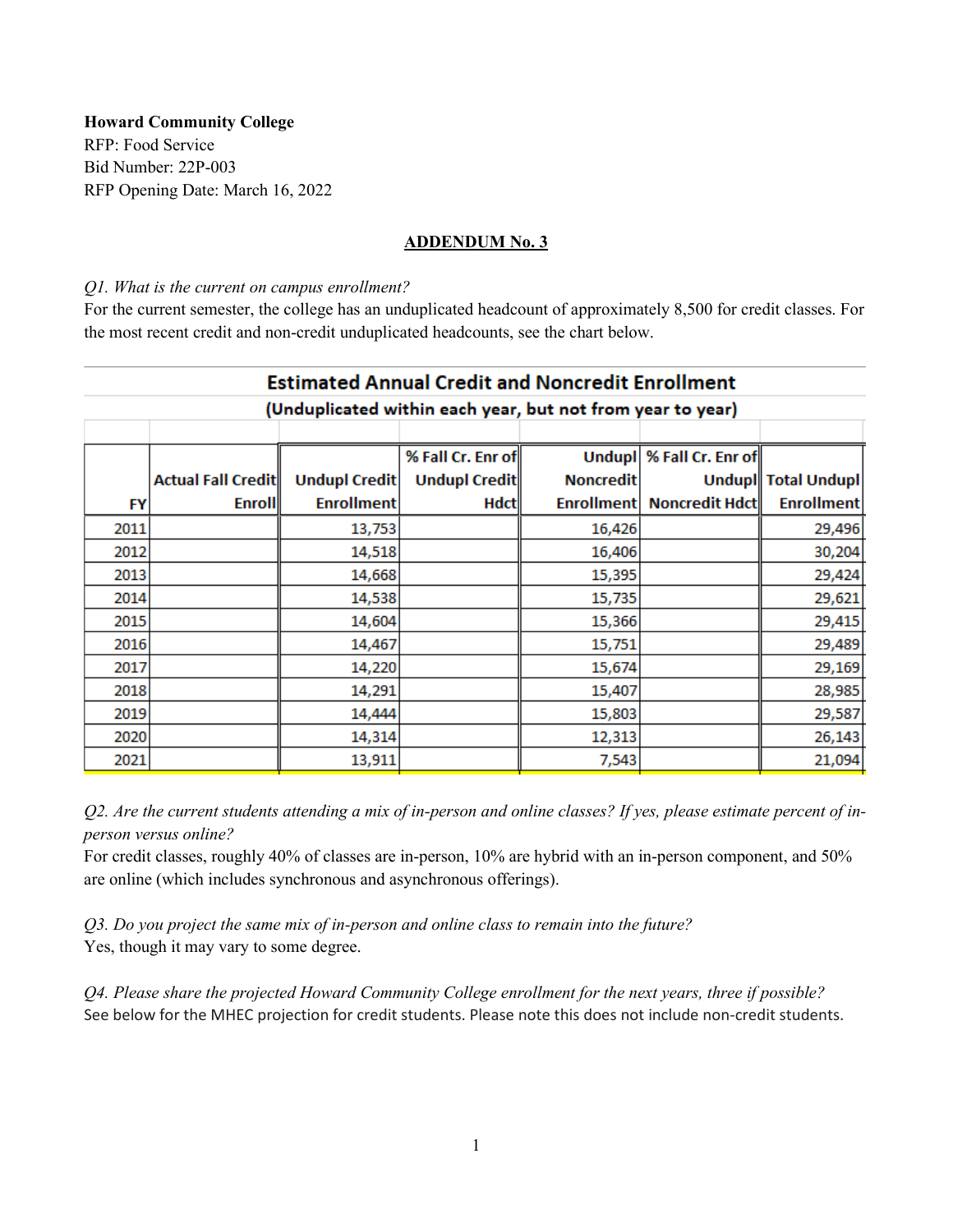**Howard Community College**  RFP: Food Service Bid Number: 22P-003 RFP Opening Date: March 16, 2022

### **ADDENDUM No. 3**

#### *Q1. What is the current on campus enrollment?*

For the current semester, the college has an unduplicated headcount of approximately 8,500 for credit classes. For the most recent credit and non-credit unduplicated headcounts, see the chart below.

| <b>Estimated Annual Credit and Noncredit Enrollment</b>    |                    |                      |                      |                   |                            |                     |  |  |  |
|------------------------------------------------------------|--------------------|----------------------|----------------------|-------------------|----------------------------|---------------------|--|--|--|
| (Unduplicated within each year, but not from year to year) |                    |                      |                      |                   |                            |                     |  |  |  |
|                                                            |                    |                      |                      |                   |                            |                     |  |  |  |
|                                                            |                    |                      | % Fall Cr. Enr of    |                   | Undupl   % Fall Cr. Enr of |                     |  |  |  |
|                                                            | Actual Fall Credit | <b>Undupl Credit</b> | <b>Undupl Credit</b> | <b>Noncredit</b>  |                            | Undupl Total Undupl |  |  |  |
| FY                                                         | <b>Enroll</b>      | <b>Enrollment</b>    | Hdct                 | <b>Enrollment</b> | Noncredit Hdct             | <b>Enrollment</b>   |  |  |  |
| 2011                                                       |                    | 13,753               |                      | 16,426            |                            | 29,496              |  |  |  |
| 2012                                                       |                    | 14,518               |                      | 16,406            |                            | 30,204              |  |  |  |
| 2013                                                       |                    | 14,668               |                      | 15,395            |                            | 29,424              |  |  |  |
| 2014                                                       |                    | 14,538               |                      | 15,735            |                            | 29,621              |  |  |  |
| 2015                                                       |                    | 14,604               |                      | 15,366            |                            | 29,415              |  |  |  |
| 2016                                                       |                    | 14,467               |                      | 15,751            |                            | 29,489              |  |  |  |
| 2017                                                       |                    | 14,220               |                      | 15,674            |                            | 29,169              |  |  |  |
| 2018                                                       |                    | 14,291               |                      | 15,407            |                            | 28,985              |  |  |  |
| 2019                                                       |                    | 14,444               |                      | 15,803            |                            | 29,587              |  |  |  |
| 2020                                                       |                    | 14,314               |                      | 12,313            |                            | 26,143              |  |  |  |
| 2021                                                       |                    | 13,911               |                      | 7,543             |                            | 21,094              |  |  |  |

*Q2. Are the current students attending a mix of in-person and online classes? If yes, please estimate percent of inperson versus online?* 

For credit classes, roughly 40% of classes are in-person, 10% are hybrid with an in-person component, and 50% are online (which includes synchronous and asynchronous offerings).

*Q3. Do you project the same mix of in-person and online class to remain into the future?*  Yes, though it may vary to some degree.

*Q4. Please share the projected Howard Community College enrollment for the next years, three if possible?* See below for the MHEC projection for credit students. Please note this does not include non-credit students.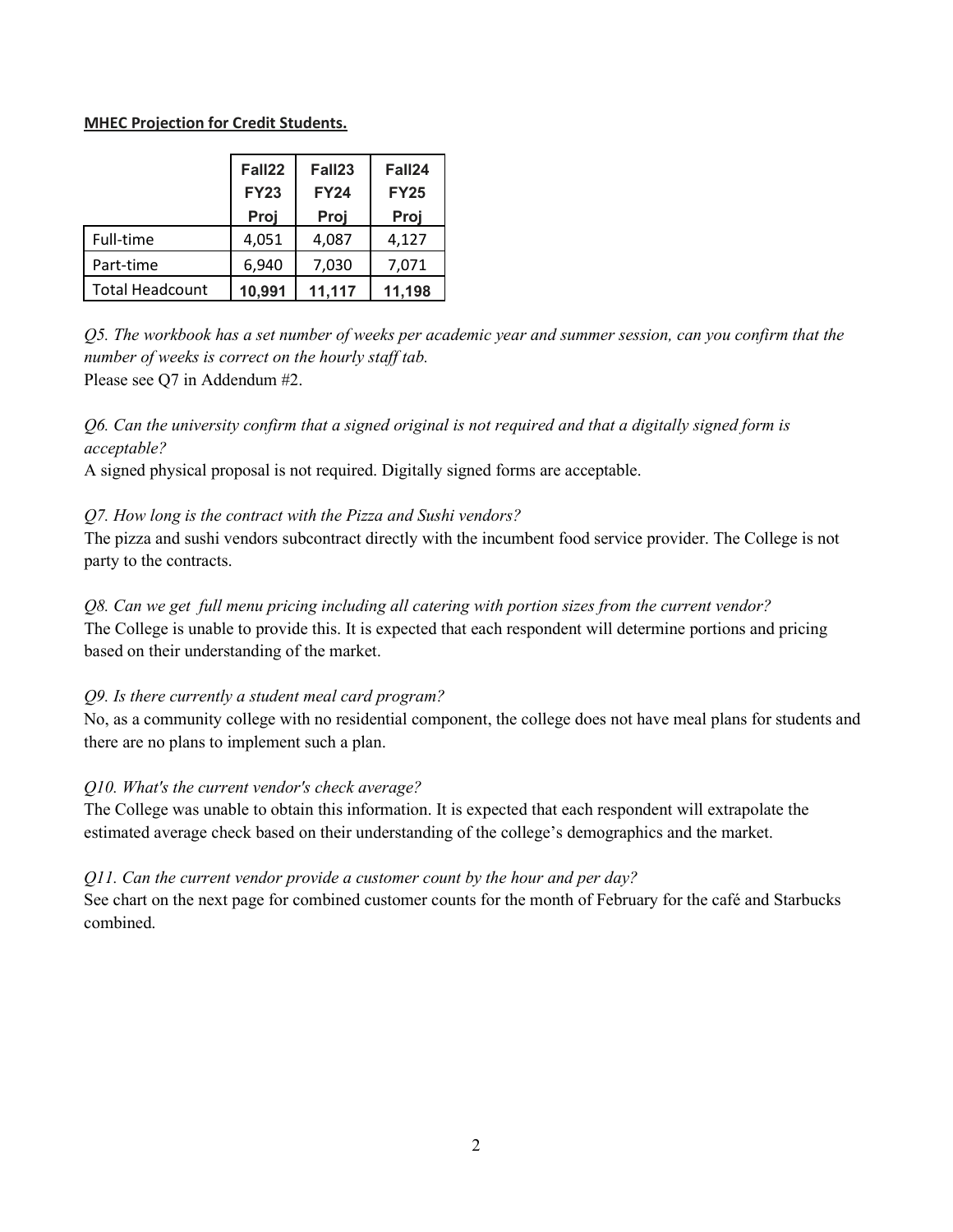### **MHEC Projection for Credit Students.**

|                        | Fall22<br><b>FY23</b><br>Proj | Fall23<br><b>FY24</b><br>Proj | Fall24<br><b>FY25</b><br>Proj |
|------------------------|-------------------------------|-------------------------------|-------------------------------|
| Full-time              | 4,051                         | 4,087                         | 4,127                         |
| Part-time              | 6,940                         | 7,030                         | 7,071                         |
| <b>Total Headcount</b> | 10,991                        | 11,117                        | 11,198                        |

*Q5. The workbook has a set number of weeks per academic year and summer session, can you confirm that the number of weeks is correct on the hourly staff tab.* Please see Q7 in Addendum #2.

# *Q6. Can the university confirm that a signed original is not required and that a digitally signed form is acceptable?*

A signed physical proposal is not required. Digitally signed forms are acceptable.

## *Q7. How long is the contract with the Pizza and Sushi vendors?*

The pizza and sushi vendors subcontract directly with the incumbent food service provider. The College is not party to the contracts.

## *Q8. Can we get full menu pricing including all catering with portion sizes from the current vendor?* The College is unable to provide this. It is expected that each respondent will determine portions and pricing

based on their understanding of the market.

# *Q9. Is there currently a student meal card program?*

No, as a community college with no residential component, the college does not have meal plans for students and there are no plans to implement such a plan.

# *Q10. What's the current vendor's check average?*

The College was unable to obtain this information. It is expected that each respondent will extrapolate the estimated average check based on their understanding of the college's demographics and the market.

# *Q11. Can the current vendor provide a customer count by the hour and per day?*

See chart on the next page for combined customer counts for the month of February for the café and Starbucks combined.